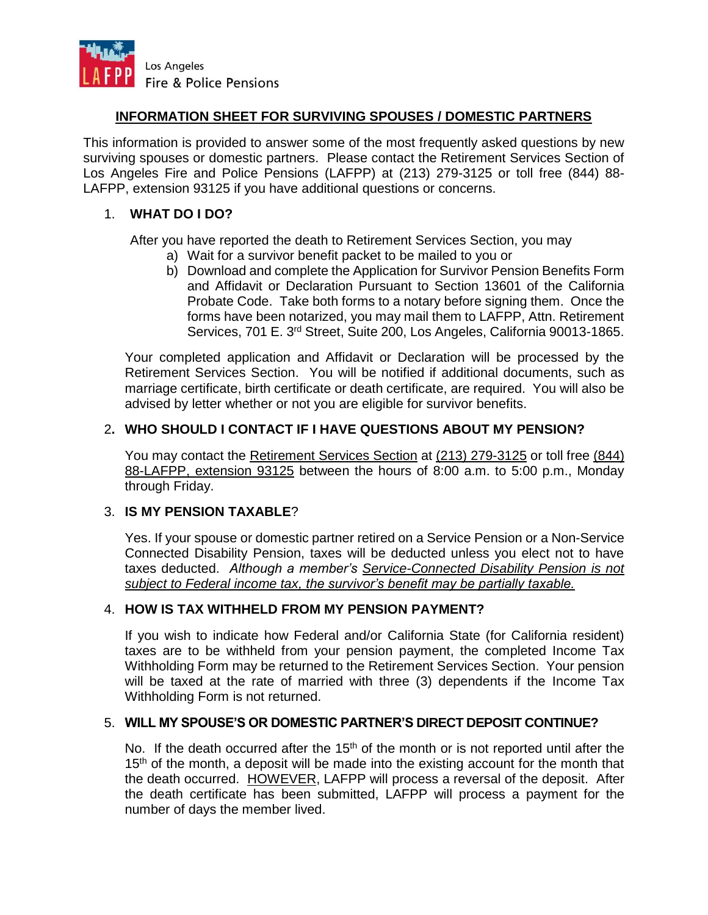

# **INFORMATION SHEET FOR SURVIVING SPOUSES / DOMESTIC PARTNERS**

This information is provided to answer some of the most frequently asked questions by new surviving spouses or domestic partners. Please contact the Retirement Services Section of Los Angeles Fire and Police Pensions (LAFPP) at (213) 279-3125 or toll free (844) 88- LAFPP, extension 93125 if you have additional questions or concerns.

# 1. **WHAT DO I DO?**

After you have reported the death to Retirement Services Section, you may

- a) Wait for a survivor benefit packet to be mailed to you or
- b) Download and complete the Application for Survivor Pension Benefits Form and Affidavit or Declaration Pursuant to Section 13601 of the California Probate Code. Take both forms to a notary before signing them. Once the forms have been notarized, you may mail them to LAFPP, Attn. Retirement Services, 701 E. 3rd Street, Suite 200, Los Angeles, California 90013-1865.

Your completed application and Affidavit or Declaration will be processed by the Retirement Services Section. You will be notified if additional documents, such as marriage certificate, birth certificate or death certificate, are required. You will also be advised by letter whether or not you are eligible for survivor benefits.

# 2**. WHO SHOULD I CONTACT IF I HAVE QUESTIONS ABOUT MY PENSION?**

You may contact the Retirement Services Section at (213) 279-3125 or toll free (844) 88-LAFPP, extension 93125 between the hours of 8:00 a.m. to 5:00 p.m., Monday through Friday.

### 3. **IS MY PENSION TAXABLE**?

Yes. If your spouse or domestic partner retired on a Service Pension or a Non-Service Connected Disability Pension, taxes will be deducted unless you elect not to have taxes deducted. *Although a member's Service-Connected Disability Pension is not subject to Federal income tax, the survivor's benefit may be partially taxable.*

### 4. **HOW IS TAX WITHHELD FROM MY PENSION PAYMENT?**

If you wish to indicate how Federal and/or California State (for California resident) taxes are to be withheld from your pension payment, the completed Income Tax Withholding Form may be returned to the Retirement Services Section. Your pension will be taxed at the rate of married with three (3) dependents if the Income Tax Withholding Form is not returned.

### 5. **WILL MY SPOUSE'S OR DOMESTIC PARTNER'S DIRECT DEPOSIT CONTINUE?**

No. If the death occurred after the 15<sup>th</sup> of the month or is not reported until after the 15<sup>th</sup> of the month, a deposit will be made into the existing account for the month that the death occurred. HOWEVER, LAFPP will process a reversal of the deposit. After the death certificate has been submitted, LAFPP will process a payment for the number of days the member lived.